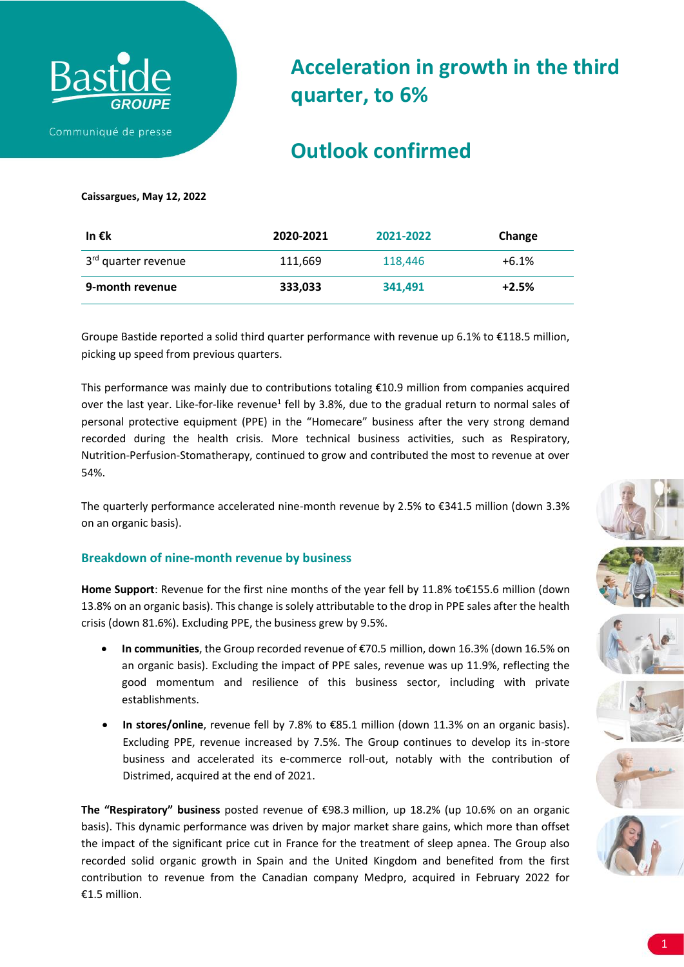

# **Acceleration in growth in the third quarter, to 6%**

## **Outlook confirmed**

### **Caissargues, May 12, 2022**

| In € $\sf k$                    | 2020-2021 | 2021-2022 | Change  |
|---------------------------------|-----------|-----------|---------|
| 3 <sup>rd</sup> quarter revenue | 111,669   | 118,446   | $+6.1%$ |
| 9-month revenue                 | 333,033   | 341.491   | $+2.5%$ |

Groupe Bastide reported a solid third quarter performance with revenue up 6.1% to €118.5 million, picking up speed from previous quarters.

This performance was mainly due to contributions totaling  $E10.9$  million from companies acquired over the last year. Like-for-like revenue<sup>1</sup> fell by 3.8%, due to the gradual return to normal sales of personal protective equipment (PPE) in the "Homecare" business after the very strong demand recorded during the health crisis. More technical business activities, such as Respiratory, Nutrition-Perfusion-Stomatherapy, continued to grow and contributed the most to revenue at over 54%.

The quarterly performance accelerated nine-month revenue by 2.5% to €341.5 million (down 3.3% on an organic basis).

## **Breakdown of nine-month revenue by business**

**Home Support**: Revenue for the first nine months of the year fell by 11.8% to€155.6 million (down 13.8% on an organic basis). This change is solely attributable to the drop in PPE sales after the health crisis (down 81.6%). Excluding PPE, the business grew by 9.5%.

- **In communities**, the Group recorded revenue of €70.5 million, down 16.3% (down 16.5% on an organic basis). Excluding the impact of PPE sales, revenue was up 11.9%, reflecting the good momentum and resilience of this business sector, including with private establishments.
- **In stores/online**, revenue fell by 7.8% to €85.1 million (down 11.3% on an organic basis). Excluding PPE, revenue increased by 7.5%. The Group continues to develop its in-store business and accelerated its e-commerce roll-out, notably with the contribution of Distrimed, acquired at the end of 2021.

**The "Respiratory" business** posted revenue of €98.3 million, up 18.2% (up 10.6% on an organic basis). This dynamic performance was driven by major market share gains, which more than offset the impact of the significant price cut in France for the treatment of sleep apnea. The Group also recorded solid organic growth in Spain and the United Kingdom and benefited from the first contribution to revenue from the Canadian company Medpro, acquired in February 2022 for  $£1.5$  million